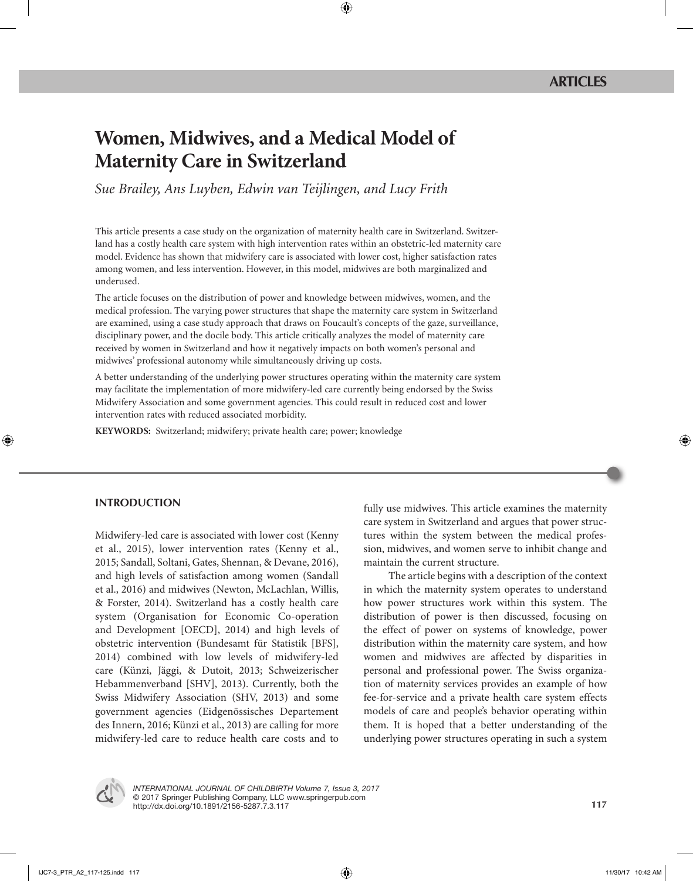# **Women, Midwives, and a Medical Model of Maternity Care in Switzerland**

*Sue Brailey, Ans Luyben, Edwin van Teijlingen, and Lucy Frith*

This article presents a case study on the organization of maternity health care in Switzerland. Switzerland has a costly health care system with high intervention rates within an obstetric-led maternity care model. Evidence has shown that midwifery care is associated with lower cost, higher satisfaction rates among women, and less intervention. However, in this model, midwives are both marginalized and underused.

The article focuses on the distribution of power and knowledge between midwives, women, and the medical profession. The varying power structures that shape the maternity care system in Switzerland are examined, using a case study approach that draws on Foucault's concepts of the gaze, surveillance, disciplinary power, and the docile body. This article critically analyzes the model of maternity care received by women in Switzerland and how it negatively impacts on both women's personal and midwives' professional autonomy while simultaneously driving up costs.

A better understanding of the underlying power structures operating within the maternity care system may facilitate the implementation of more midwifery-led care currently being endorsed by the Swiss Midwifery Association and some government agencies. This could result in reduced cost and lower intervention rates with reduced associated morbidity.

**KEYWORDS:** Switzerland; midwifery; private health care; power; knowledge

# **INTRODUCTION**

Midwifery-led care is associated with lower cost (Kenny et al., 2015), lower intervention rates (Kenny et al., 2015; Sandall, Soltani, Gates, Shennan, & Devane, 2016), and high levels of satisfaction among women (Sandall et al., 2016) and midwives (Newton, McLachlan, Willis, & Forster, 2014). Switzerland has a costly health care system (Organisation for Economic Co-operation and Development [OECD], 2014) and high levels of obstetric intervention (Bundesamt für Statistik [BFS], 2014) combined with low levels of midwifery-led care (Künzi, Jäggi, & Dutoit, 2013; Schweizerischer Hebammenverband [SHV], 2013). Currently, both the Swiss Midwifery Association (SHV, 2013) and some government agencies (Eidgenössisches Departement des Innern, 2016; Künzi et al., 2013) are calling for more midwifery-led care to reduce health care costs and to

fully use midwives. This article examines the maternity care system in Switzerland and argues that power structures within the system between the medical profession, midwives, and women serve to inhibit change and maintain the current structure.

The article begins with a description of the context in which the maternity system operates to understand how power structures work within this system. The distribution of power is then discussed, focusing on the effect of power on systems of knowledge, power distribution within the maternity care system, and how women and midwives are affected by disparities in personal and professional power. The Swiss organization of maternity services provides an example of how fee-for-service and a private health care system effects models of care and people's behavior operating within them. It is hoped that a better understanding of the underlying power structures operating in such a system



*INTERNATIONAL JOURNAL OF CHILDBIRTH Volume 7, Issue 3, 2017* © 2017 Springer Publishing Company, LLC www.springerpub.com http://dx.doi.org/10.1891/2156-5287.7.3.117 **117**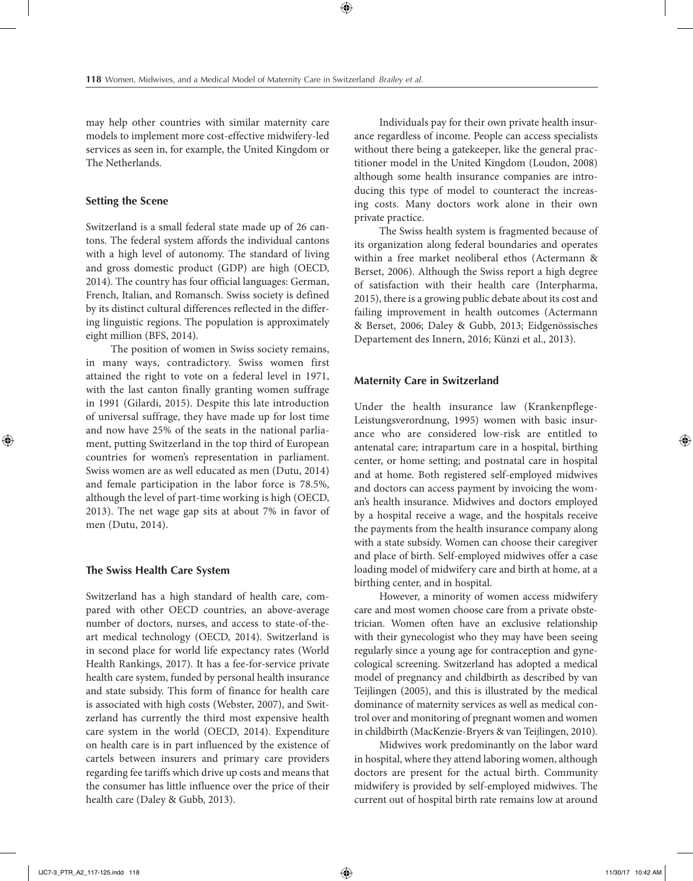may help other countries with similar maternity care models to implement more cost-effective midwifery-led services as seen in, for example, the United Kingdom or The Netherlands.

#### **Setting the Scene**

Switzerland is a small federal state made up of 26 cantons. The federal system affords the individual cantons with a high level of autonomy. The standard of living and gross domestic product (GDP) are high (OECD, 2014). The country has four official languages: German, French, Italian, and Romansch. Swiss society is defined by its distinct cultural differences reflected in the differing linguistic regions. The population is approximately eight million (BFS, 2014).

The position of women in Swiss society remains, in many ways, contradictory. Swiss women first attained the right to vote on a federal level in 1971, with the last canton finally granting women suffrage in 1991 (Gilardi, 2015). Despite this late introduction of universal suffrage, they have made up for lost time and now have 25% of the seats in the national parliament, putting Switzerland in the top third of European countries for women's representation in parliament. Swiss women are as well educated as men (Dutu, 2014) and female participation in the labor force is 78.5%, although the level of part-time working is high (OECD, 2013). The net wage gap sits at about 7% in favor of men (Dutu, 2014).

#### **The Swiss Health Care System**

Switzerland has a high standard of health care, compared with other OECD countries, an above-average number of doctors, nurses, and access to state-of-theart medical technology (OECD, 2014). Switzerland is in second place for world life expectancy rates (World Health Rankings, 2017). It has a fee-for-service private health care system, funded by personal health insurance and state subsidy. This form of finance for health care is associated with high costs (Webster, 2007), and Switzerland has currently the third most expensive health care system in the world (OECD, 2014). Expenditure on health care is in part influenced by the existence of cartels between insurers and primary care providers regarding fee tariffs which drive up costs and means that the consumer has little influence over the price of their health care (Daley & Gubb, 2013).

Individuals pay for their own private health insurance regardless of income. People can access specialists without there being a gatekeeper, like the general practitioner model in the United Kingdom (Loudon, 2008) although some health insurance companies are introducing this type of model to counteract the increasing costs. Many doctors work alone in their own private practice.

The Swiss health system is fragmented because of its organization along federal boundaries and operates within a free market neoliberal ethos (Actermann & Berset, 2006). Although the Swiss report a high degree of satisfaction with their health care (Interpharma, 2015), there is a growing public debate about its cost and failing improvement in health outcomes (Actermann & Berset, 2006; Daley & Gubb, 2013; Eidgenössisches Departement des Innern, 2016; Künzi et al., 2013).

#### **Maternity Care in Switzerland**

Under the health insurance law (Krankenpflege-Leistungsverordnung, 1995) women with basic insurance who are considered low-risk are entitled to antenatal care; intrapartum care in a hospital, birthing center, or home setting; and postnatal care in hospital and at home. Both registered self-employed midwives and doctors can access payment by invoicing the woman's health insurance. Midwives and doctors employed by a hospital receive a wage, and the hospitals receive the payments from the health insurance company along with a state subsidy. Women can choose their caregiver and place of birth. Self-employed midwives offer a case loading model of midwifery care and birth at home, at a birthing center, and in hospital.

However, a minority of women access midwifery care and most women choose care from a private obstetrician. Women often have an exclusive relationship with their gynecologist who they may have been seeing regularly since a young age for contraception and gynecological screening. Switzerland has adopted a medical model of pregnancy and childbirth as described by van Teijlingen (2005), and this is illustrated by the medical dominance of maternity services as well as medical control over and monitoring of pregnant women and women in childbirth (MacKenzie-Bryers & van Teijlingen, 2010).

Midwives work predominantly on the labor ward in hospital, where they attend laboring women, although doctors are present for the actual birth. Community midwifery is provided by self-employed midwives. The current out of hospital birth rate remains low at around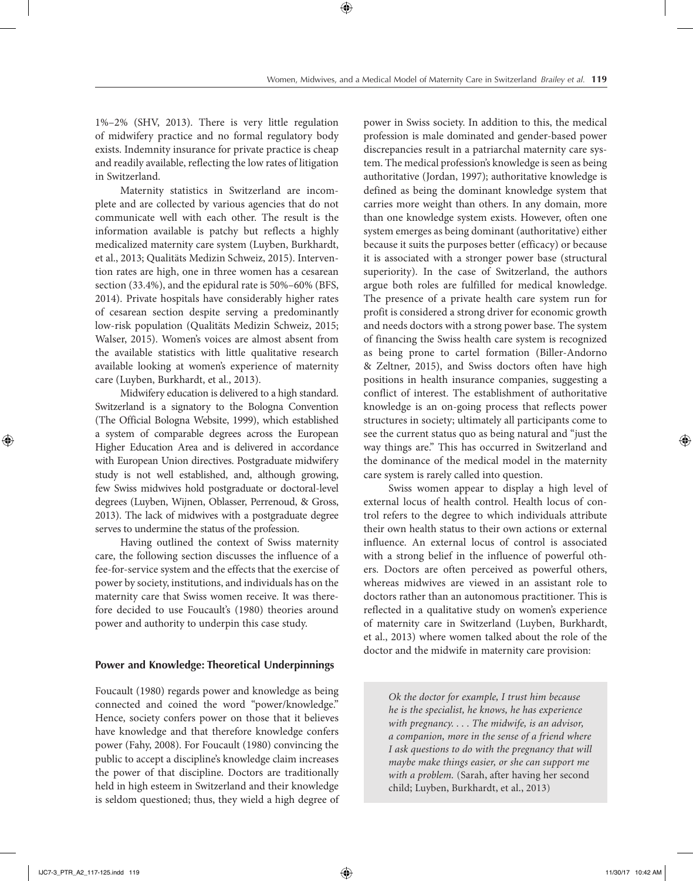1%–2% (SHV, 2013). There is very little regulation of midwifery practice and no formal regulatory body exists. Indemnity insurance for private practice is cheap and readily available, reflecting the low rates of litigation in Switzerland.

Maternity statistics in Switzerland are incomplete and are collected by various agencies that do not communicate well with each other. The result is the information available is patchy but reflects a highly medicalized maternity care system (Luyben, Burkhardt, et al., 2013; Qualitäts Medizin Schweiz, 2015). Intervention rates are high, one in three women has a cesarean section (33.4%), and the epidural rate is 50%–60% (BFS, 2014). Private hospitals have considerably higher rates of cesarean section despite serving a predominantly low-risk population (Qualitäts Medizin Schweiz, 2015; Walser, 2015). Women's voices are almost absent from the available statistics with little qualitative research available looking at women's experience of maternity care (Luyben, Burkhardt, et al., 2013).

Midwifery education is delivered to a high standard. Switzerland is a signatory to the Bologna Convention (The Official Bologna Website, 1999), which established a system of comparable degrees across the European Higher Education Area and is delivered in accordance with European Union directives. Postgraduate midwifery study is not well established, and, although growing, few Swiss midwives hold postgraduate or doctoral-level degrees (Luyben, Wijnen, Oblasser, Perrenoud, & Gross, 2013). The lack of midwives with a postgraduate degree serves to undermine the status of the profession.

Having outlined the context of Swiss maternity care, the following section discusses the influence of a fee-for-service system and the effects that the exercise of power by society, institutions, and individuals has on the maternity care that Swiss women receive. It was therefore decided to use Foucault's (1980) theories around power and authority to underpin this case study.

## **Power and Knowledge: Theoretical Underpinnings**

Foucault (1980) regards power and knowledge as being connected and coined the word "power/knowledge." Hence, society confers power on those that it believes have knowledge and that therefore knowledge confers power (Fahy, 2008). For Foucault (1980) convincing the public to accept a discipline's knowledge claim increases the power of that discipline. Doctors are traditionally held in high esteem in Switzerland and their knowledge is seldom questioned; thus, they wield a high degree of

power in Swiss society. In addition to this, the medical profession is male dominated and gender-based power discrepancies result in a patriarchal maternity care system. The medical profession's knowledge is seen as being authoritative (Jordan, 1997); authoritative knowledge is defined as being the dominant knowledge system that carries more weight than others. In any domain, more than one knowledge system exists. However, often one system emerges as being dominant (authoritative) either because it suits the purposes better (efficacy) or because it is associated with a stronger power base (structural superiority). In the case of Switzerland, the authors argue both roles are fulfilled for medical knowledge. The presence of a private health care system run for profit is considered a strong driver for economic growth and needs doctors with a strong power base. The system of financing the Swiss health care system is recognized as being prone to cartel formation (Biller-Andorno & Zeltner, 2015), and Swiss doctors often have high positions in health insurance companies, suggesting a conflict of interest. The establishment of authoritative knowledge is an on-going process that reflects power structures in society; ultimately all participants come to see the current status quo as being natural and "just the way things are." This has occurred in Switzerland and the dominance of the medical model in the maternity care system is rarely called into question.

Swiss women appear to display a high level of external locus of health control. Health locus of control refers to the degree to which individuals attribute their own health status to their own actions or external influence. An external locus of control is associated with a strong belief in the influence of powerful others. Doctors are often perceived as powerful others, whereas midwives are viewed in an assistant role to doctors rather than an autonomous practitioner. This is reflected in a qualitative study on women's experience of maternity care in Switzerland (Luyben, Burkhardt, et al., 2013) where women talked about the role of the doctor and the midwife in maternity care provision:

> *Ok the doctor for example, I trust him because he is the specialist, he knows, he has experience with pregnancy. . . . The midwife, is an advisor, a companion, more in the sense of a friend where I ask questions to do with the pregnancy that will maybe make things easier, or she can support me with a problem.* (Sarah, after having her second child; Luyben, Burkhardt, et al., 2013)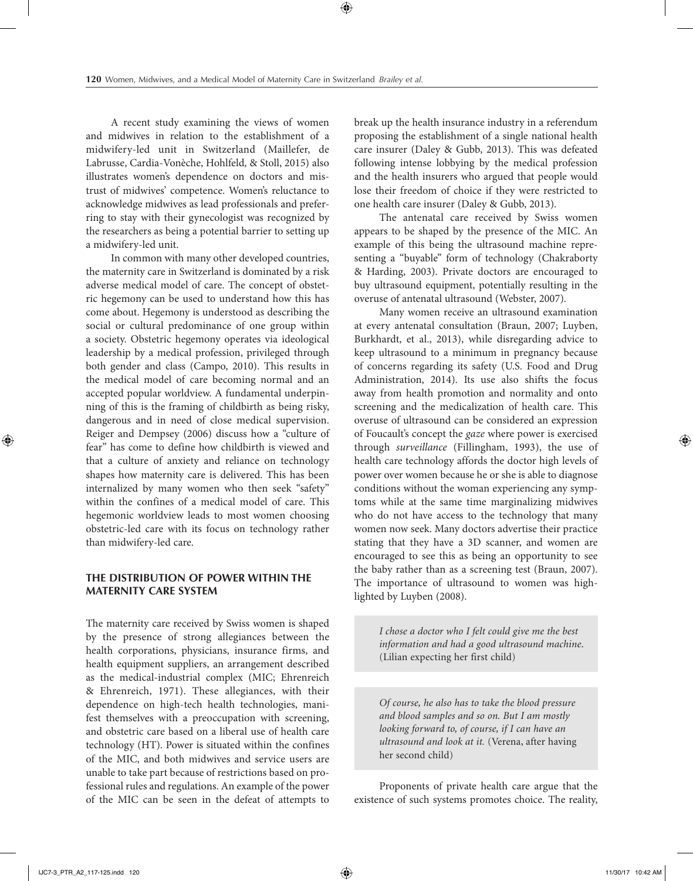A recent study examining the views of women and midwives in relation to the establishment of a midwifery-led unit in Switzerland (Maillefer, de Labrusse, Cardia-Vonèche, Hohlfeld, & Stoll, 2015) also illustrates women's dependence on doctors and mistrust of midwives' competence. Women's reluctance to acknowledge midwives as lead professionals and preferring to stay with their gynecologist was recognized by the researchers as being a potential barrier to setting up a midwifery-led unit.

In common with many other developed countries, the maternity care in Switzerland is dominated by a risk adverse medical model of care. The concept of obstetric hegemony can be used to understand how this has come about. Hegemony is understood as describing the social or cultural predominance of one group within a society. Obstetric hegemony operates via ideological leadership by a medical profession, privileged through both gender and class (Campo, 2010). This results in the medical model of care becoming normal and an accepted popular worldview. A fundamental underpinning of this is the framing of childbirth as being risky, dangerous and in need of close medical supervision. Reiger and Dempsey (2006) discuss how a "culture of fear" has come to define how childbirth is viewed and that a culture of anxiety and reliance on technology shapes how maternity care is delivered. This has been internalized by many women who then seek "safety" within the confines of a medical model of care. This hegemonic worldview leads to most women choosing obstetric-led care with its focus on technology rather than midwifery-led care.

## **THE DISTRIBUTION OF POWER WITHIN THE MATERNITY CARE SYSTEM**

The maternity care received by Swiss women is shaped by the presence of strong allegiances between the health corporations, physicians, insurance firms, and health equipment suppliers, an arrangement described as the medical-industrial complex (MIC; Ehrenreich & Ehrenreich, 1971). These allegiances, with their dependence on high-tech health technologies, manifest themselves with a preoccupation with screening, and obstetric care based on a liberal use of health care technology (HT). Power is situated within the confines of the MIC, and both midwives and service users are unable to take part because of restrictions based on professional rules and regulations. An example of the power of the MIC can be seen in the defeat of attempts to

break up the health insurance industry in a referendum proposing the establishment of a single national health care insurer (Daley & Gubb, 2013). This was defeated following intense lobbying by the medical profession and the health insurers who argued that people would lose their freedom of choice if they were restricted to one health care insurer (Daley & Gubb, 2013).

The antenatal care received by Swiss women appears to be shaped by the presence of the MIC. An example of this being the ultrasound machine representing a "buyable" form of technology (Chakraborty & Harding, 2003). Private doctors are encouraged to buy ultrasound equipment, potentially resulting in the overuse of antenatal ultrasound (Webster, 2007).

Many women receive an ultrasound examination at every antenatal consultation (Braun, 2007; Luyben, Burkhardt, et al., 2013), while disregarding advice to keep ultrasound to a minimum in pregnancy because of concerns regarding its safety (U.S. Food and Drug Administration, 2014). Its use also shifts the focus away from health promotion and normality and onto screening and the medicalization of health care. This overuse of ultrasound can be considered an expression of Foucault's concept the *gaze* where power is exercised through *surveillance* (Fillingham, 1993), the use of health care technology affords the doctor high levels of power over women because he or she is able to diagnose conditions without the woman experiencing any symptoms while at the same time marginalizing midwives who do not have access to the technology that many women now seek. Many doctors advertise their practice stating that they have a 3D scanner, and women are encouraged to see this as being an opportunity to see the baby rather than as a screening test (Braun, 2007). The importance of ultrasound to women was highlighted by Luyben (2008).

> *I chose a doctor who I felt could give me the best information and had a good ultrasound machine*. (Lilian expecting her first child)

*Of course, he also has to take the blood pressure and blood samples and so on. But I am mostly looking forward to, of course, if I can have an ultrasound and look at it.* (Verena, after having her second child)

Proponents of private health care argue that the existence of such systems promotes choice. The reality,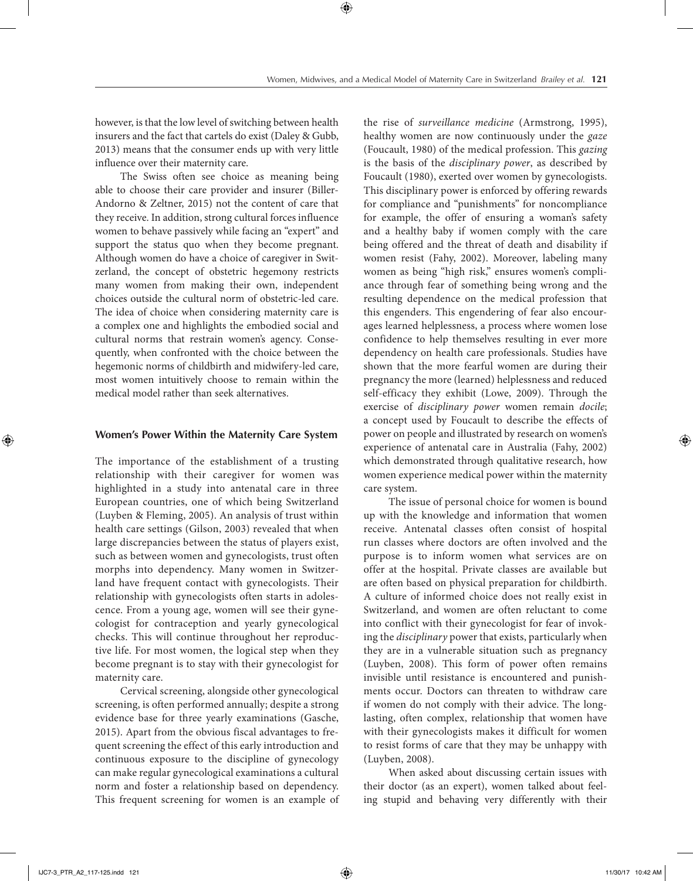however, is that the low level of switching between health insurers and the fact that cartels do exist (Daley & Gubb, 2013) means that the consumer ends up with very little influence over their maternity care.

The Swiss often see choice as meaning being able to choose their care provider and insurer (Biller-Andorno & Zeltner, 2015) not the content of care that they receive. In addition, strong cultural forces influence women to behave passively while facing an "expert" and support the status quo when they become pregnant. Although women do have a choice of caregiver in Switzerland, the concept of obstetric hegemony restricts many women from making their own, independent choices outside the cultural norm of obstetric-led care. The idea of choice when considering maternity care is a complex one and highlights the embodied social and cultural norms that restrain women's agency. Consequently, when confronted with the choice between the hegemonic norms of childbirth and midwifery-led care, most women intuitively choose to remain within the medical model rather than seek alternatives.

#### **Women's Power Within the Maternity Care System**

The importance of the establishment of a trusting relationship with their caregiver for women was highlighted in a study into antenatal care in three European countries, one of which being Switzerland (Luyben & Fleming, 2005). An analysis of trust within health care settings (Gilson, 2003) revealed that when large discrepancies between the status of players exist, such as between women and gynecologists, trust often morphs into dependency. Many women in Switzerland have frequent contact with gynecologists. Their relationship with gynecologists often starts in adolescence. From a young age, women will see their gynecologist for contraception and yearly gynecological checks. This will continue throughout her reproductive life. For most women, the logical step when they become pregnant is to stay with their gynecologist for maternity care.

Cervical screening, alongside other gynecological screening, is often performed annually; despite a strong evidence base for three yearly examinations (Gasche, 2015). Apart from the obvious fiscal advantages to frequent screening the effect of this early introduction and continuous exposure to the discipline of gynecology can make regular gynecological examinations a cultural norm and foster a relationship based on dependency. This frequent screening for women is an example of the rise of *surveillance medicine* (Armstrong, 1995), healthy women are now continuously under the *gaze* (Foucault, 1980) of the medical profession. This *gazing* is the basis of the *disciplinary power*, as described by Foucault (1980), exerted over women by gynecologists. This disciplinary power is enforced by offering rewards for compliance and "punishments" for noncompliance for example, the offer of ensuring a woman's safety and a healthy baby if women comply with the care being offered and the threat of death and disability if women resist (Fahy, 2002). Moreover, labeling many women as being "high risk," ensures women's compliance through fear of something being wrong and the resulting dependence on the medical profession that this engenders. This engendering of fear also encourages learned helplessness, a process where women lose confidence to help themselves resulting in ever more dependency on health care professionals. Studies have shown that the more fearful women are during their pregnancy the more (learned) helplessness and reduced self-efficacy they exhibit (Lowe, 2009). Through the exercise of *disciplinary power* women remain *docile*; a concept used by Foucault to describe the effects of power on people and illustrated by research on women's experience of antenatal care in Australia (Fahy, 2002) which demonstrated through qualitative research, how women experience medical power within the maternity care system.

The issue of personal choice for women is bound up with the knowledge and information that women receive. Antenatal classes often consist of hospital run classes where doctors are often involved and the purpose is to inform women what services are on offer at the hospital. Private classes are available but are often based on physical preparation for childbirth. A culture of informed choice does not really exist in Switzerland, and women are often reluctant to come into conflict with their gynecologist for fear of invoking the *disciplinary* power that exists, particularly when they are in a vulnerable situation such as pregnancy (Luyben, 2008). This form of power often remains invisible until resistance is encountered and punishments occur. Doctors can threaten to withdraw care if women do not comply with their advice. The longlasting, often complex, relationship that women have with their gynecologists makes it difficult for women to resist forms of care that they may be unhappy with (Luyben, 2008).

When asked about discussing certain issues with their doctor (as an expert), women talked about feeling stupid and behaving very differently with their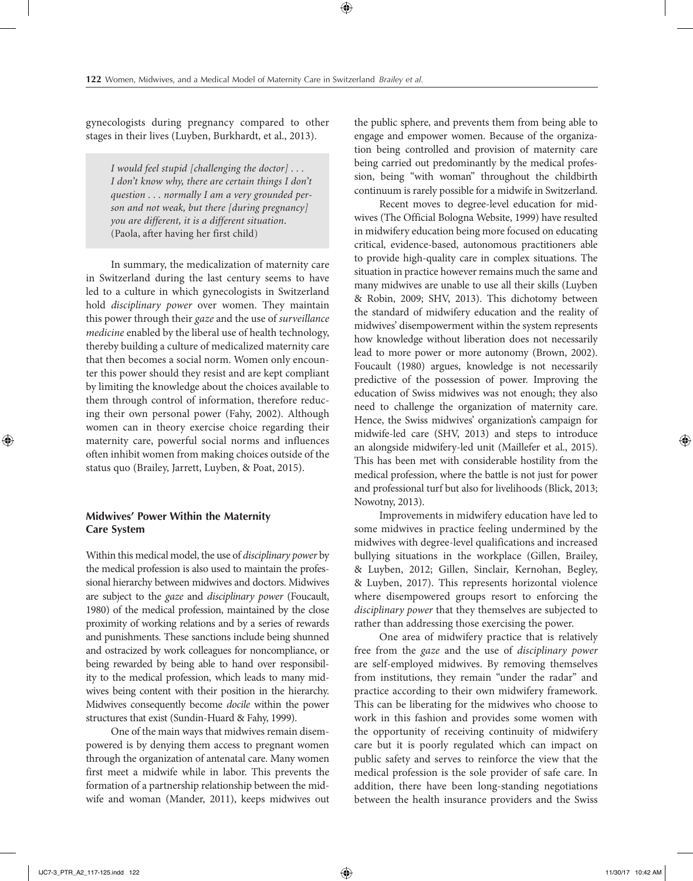gynecologists during pregnancy compared to other stages in their lives (Luyben, Burkhardt, et al., 2013).

> *I would feel stupid [challenging the doctor] . . . I don't know why, there are certain things I don't question . . . normally I am a very grounded person and not weak, but there [during pregnancy] you are different, it is a different situation*. (Paola, after having her first child)

In summary, the medicalization of maternity care in Switzerland during the last century seems to have led to a culture in which gynecologists in Switzerland hold *disciplinary power* over women. They maintain this power through their *gaze* and the use of *surveillance medicine* enabled by the liberal use of health technology, thereby building a culture of medicalized maternity care that then becomes a social norm. Women only encounter this power should they resist and are kept compliant by limiting the knowledge about the choices available to them through control of information, therefore reducing their own personal power (Fahy, 2002). Although women can in theory exercise choice regarding their maternity care, powerful social norms and influences often inhibit women from making choices outside of the status quo (Brailey, Jarrett, Luyben, & Poat, 2015).

## **Midwives' Power Within the Maternity Care System**

Within this medical model, the use of *disciplinary power* by the medical profession is also used to maintain the professional hierarchy between midwives and doctors. Midwives are subject to the *gaze* and *disciplinary power* (Foucault, 1980) of the medical profession, maintained by the close proximity of working relations and by a series of rewards and punishments. These sanctions include being shunned and ostracized by work colleagues for noncompliance, or being rewarded by being able to hand over responsibility to the medical profession, which leads to many midwives being content with their position in the hierarchy. Midwives consequently become *docile* within the power structures that exist (Sundin-Huard & Fahy, 1999).

One of the main ways that midwives remain disempowered is by denying them access to pregnant women through the organization of antenatal care. Many women first meet a midwife while in labor. This prevents the formation of a partnership relationship between the midwife and woman (Mander, 2011), keeps midwives out

the public sphere, and prevents them from being able to engage and empower women. Because of the organization being controlled and provision of maternity care being carried out predominantly by the medical profession, being "with woman" throughout the childbirth continuum is rarely possible for a midwife in Switzerland.

Recent moves to degree-level education for midwives (The Official Bologna Website, 1999) have resulted in midwifery education being more focused on educating critical, evidence-based, autonomous practitioners able to provide high-quality care in complex situations. The situation in practice however remains much the same and many midwives are unable to use all their skills (Luyben & Robin, 2009; SHV, 2013). This dichotomy between the standard of midwifery education and the reality of midwives' disempowerment within the system represents how knowledge without liberation does not necessarily lead to more power or more autonomy (Brown, 2002). Foucault (1980) argues, knowledge is not necessarily predictive of the possession of power. Improving the education of Swiss midwives was not enough; they also need to challenge the organization of maternity care. Hence, the Swiss midwives' organization's campaign for midwife-led care (SHV, 2013) and steps to introduce an alongside midwifery-led unit (Maillefer et al., 2015). This has been met with considerable hostility from the medical profession, where the battle is not just for power and professional turf but also for livelihoods (Blick, 2013; Nowotny, 2013).

Improvements in midwifery education have led to some midwives in practice feeling undermined by the midwives with degree-level qualifications and increased bullying situations in the workplace (Gillen, Brailey, & Luyben, 2012; Gillen, Sinclair, Kernohan, Begley, & Luyben, 2017). This represents horizontal violence where disempowered groups resort to enforcing the *disciplinary power* that they themselves are subjected to rather than addressing those exercising the power.

One area of midwifery practice that is relatively free from the *gaze* and the use of *disciplinary power* are self-employed midwives. By removing themselves from institutions, they remain "under the radar" and practice according to their own midwifery framework. This can be liberating for the midwives who choose to work in this fashion and provides some women with the opportunity of receiving continuity of midwifery care but it is poorly regulated which can impact on public safety and serves to reinforce the view that the medical profession is the sole provider of safe care. In addition, there have been long-standing negotiations between the health insurance providers and the Swiss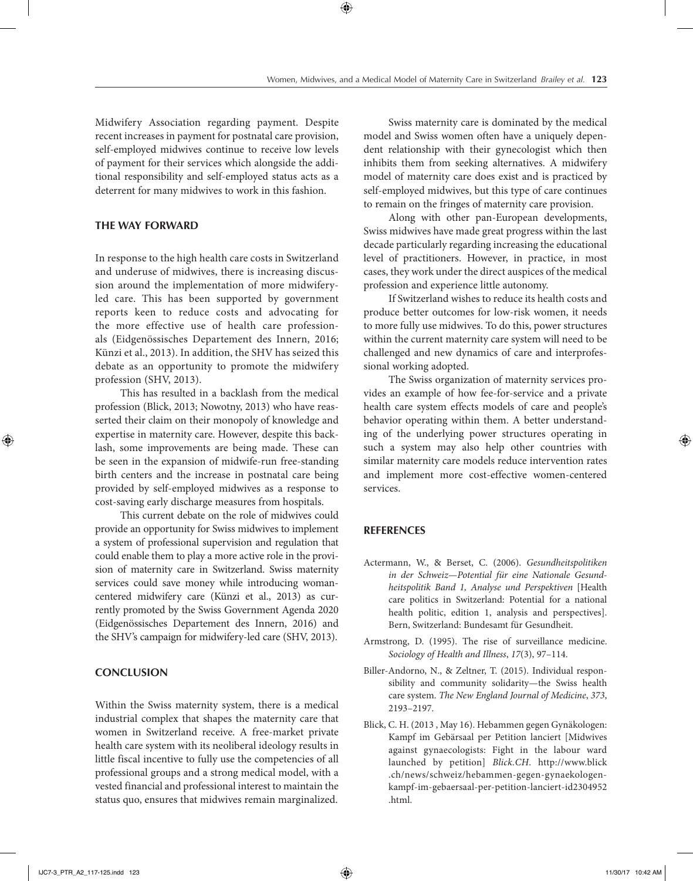Midwifery Association regarding payment. Despite recent increases in payment for postnatal care provision, self-employed midwives continue to receive low levels of payment for their services which alongside the additional responsibility and self-employed status acts as a deterrent for many midwives to work in this fashion.

#### **THE WAY FORWARD**

In response to the high health care costs in Switzerland and underuse of midwives, there is increasing discussion around the implementation of more midwiferyled care. This has been supported by government reports keen to reduce costs and advocating for the more effective use of health care professionals (Eidgenössisches Departement des Innern, 2016; Künzi et al., 2013). In addition, the SHV has seized this debate as an opportunity to promote the midwifery profession (SHV, 2013).

This has resulted in a backlash from the medical profession (Blick, 2013; Nowotny, 2013) who have reasserted their claim on their monopoly of knowledge and expertise in maternity care. However, despite this backlash, some improvements are being made. These can be seen in the expansion of midwife-run free-standing birth centers and the increase in postnatal care being provided by self-employed midwives as a response to cost-saving early discharge measures from hospitals.

This current debate on the role of midwives could provide an opportunity for Swiss midwives to implement a system of professional supervision and regulation that could enable them to play a more active role in the provision of maternity care in Switzerland. Swiss maternity services could save money while introducing womancentered midwifery care (Künzi et al., 2013) as currently promoted by the Swiss Government Agenda 2020 (Eidgenössisches Departement des Innern, 2016) and the SHV's campaign for midwifery-led care (SHV, 2013).

## **CONCLUSION**

Within the Swiss maternity system, there is a medical industrial complex that shapes the maternity care that women in Switzerland receive. A free-market private health care system with its neoliberal ideology results in little fiscal incentive to fully use the competencies of all professional groups and a strong medical model, with a vested financial and professional interest to maintain the status quo, ensures that midwives remain marginalized.

Swiss maternity care is dominated by the medical model and Swiss women often have a uniquely dependent relationship with their gynecologist which then inhibits them from seeking alternatives. A midwifery model of maternity care does exist and is practiced by self-employed midwives, but this type of care continues to remain on the fringes of maternity care provision.

Along with other pan-European developments, Swiss midwives have made great progress within the last decade particularly regarding increasing the educational level of practitioners. However, in practice, in most cases, they work under the direct auspices of the medical profession and experience little autonomy.

If Switzerland wishes to reduce its health costs and produce better outcomes for low-risk women, it needs to more fully use midwives. To do this, power structures within the current maternity care system will need to be challenged and new dynamics of care and interprofessional working adopted.

The Swiss organization of maternity services provides an example of how fee-for-service and a private health care system effects models of care and people's behavior operating within them. A better understanding of the underlying power structures operating in such a system may also help other countries with similar maternity care models reduce intervention rates and implement more cost-effective women-centered services.

### **REFERENCES**

- Actermann, W., & Berset, C. (2006). *Gesundheitspolitiken in der Schweiz—Potential für eine Nationale Gesundheitspolitik Band 1, Analyse und Perspektiven* [Health care politics in Switzerland: Potential for a national health politic, edition 1, analysis and perspectives]. Bern, Switzerland: Bundesamt für Gesundheit.
- Armstrong, D. (1995). The rise of surveillance medicine. *Sociology of Health and Illness*, *17*(3), 97–114.
- Biller-Andorno, N., & Zeltner, T. (2015). Individual responsibility and community solidarity—the Swiss health care system. *The New England Journal of Medicine*, *373*, 2193–2197.
- Blick, C. H. (2013 , May 16). Hebammen gegen Gynäkologen: Kampf im Gebärsaal per Petition lanciert [Midwives against gynaecologists: Fight in the labour ward launched by petition] *Blick.CH*. [http://www.blick](http://www.blick.ch/news/schweiz/hebammen-gegen-gynaekologenkampf-im-gebaersaal-per-petition-lanciert-id2304952.html) [.ch/news/schweiz/hebammen-gegen-gynaekologen](http://www.blick.ch/news/schweiz/hebammen-gegen-gynaekologenkampf-im-gebaersaal-per-petition-lanciert-id2304952.html)kampf-im-gebaersaal-per-petition-lanciert-id2304952 [.html.](http://www.blick.ch/news/schweiz/hebammen-gegen-gynaekologenkampf-im-gebaersaal-per-petition-lanciert-id2304952.html)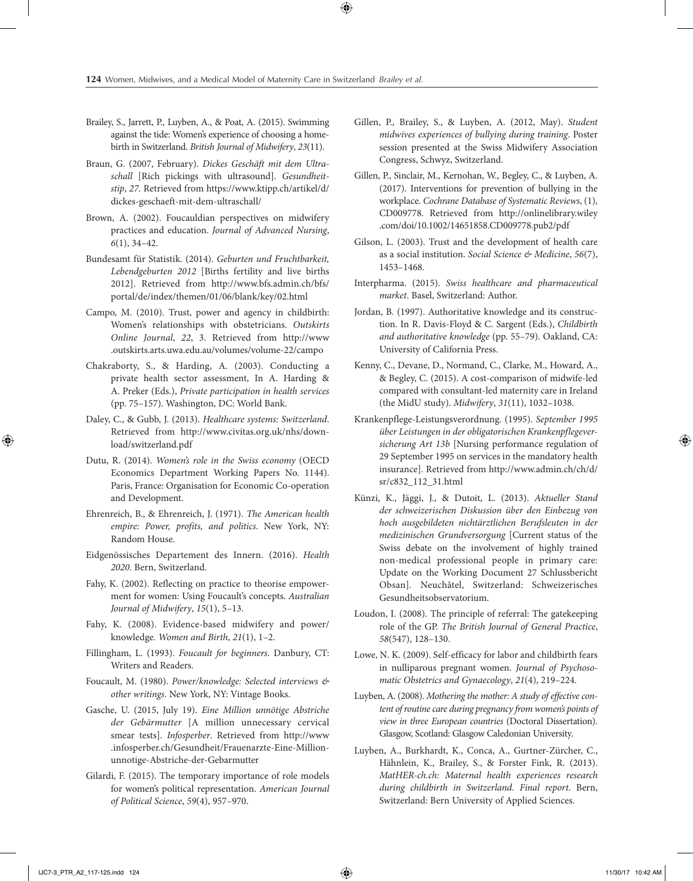- Brailey, S., Jarrett, P., Luyben, A., & Poat, A. (2015). Swimming against the tide: Women's experience of choosing a homebirth in Switzerland. *British Journal of Midwifery*, *23*(11).
- Braun, G. (2007, February). *Dickes Geschäft mit dem Ultraschall* [Rich pickings with ultrasound]. *Gesundheitstip*, *27*. Retrieved from [https://www.ktipp.ch/artikel/d/](https://www.ktipp.ch/artikel/d/dickes-geschaeft-mit-dem-ultraschall/) [dickes-geschaeft-mit-dem-ultraschall/](https://www.ktipp.ch/artikel/d/dickes-geschaeft-mit-dem-ultraschall/)
- Brown, A. (2002). Foucauldian perspectives on midwifery practices and education. *Journal of Advanced Nursing*, *6*(1), 34–42.
- Bundesamt für Statistik. (2014). *Geburten und Fruchtbarkeit, Lebendgeburten 2012* [Births fertility and live births 2012]. Retrieved from [http://www.bfs.admin.ch/bfs/](http://www.bfs.admin.ch/bfs/portal/de/index/themen/01/06/blank/key/02.html) [portal/de/index/themen/01/06/blank/key/02.html](http://www.bfs.admin.ch/bfs/portal/de/index/themen/01/06/blank/key/02.html)
- Campo, M. (2010). Trust, power and agency in childbirth: Women's relationships with obstetricians. *Outskirts Online Journal*, *22*, 3. Retrieved from [http://www](http://www.outskirts.arts.uwa.edu.au/volumes/volume-22/campo) [.outskirts.arts.uwa.edu.au/volumes/volume-22/campo](http://www.outskirts.arts.uwa.edu.au/volumes/volume-22/campo)
- Chakraborty, S., & Harding, A. (2003). Conducting a private health sector assessment, In A. Harding & A. Preker (Eds.), *Private participation in health services* (pp. 75–157). Washington, DC: World Bank.
- Daley, C., & Gubb, J. (2013). *Healthcare systems: Switzerland*. Retrieved from http://www.civitas.org.uk/nhs/download/switzerland.pdf
- Dutu, R. (2014). *Women's role in the Swiss economy* (OECD Economics Department Working Papers No. 1144). Paris, France: Organisation for Economic Co-operation and Development.
- Ehrenreich, B., & Ehrenreich, J. (1971). *The American health empire: Power, profits, and politics*. New York, NY: Random House.
- Eidgenössisches Departement des Innern. (2016). *Health 2020*. Bern, Switzerland.
- Fahy, K. (2002). Reflecting on practice to theorise empowerment for women: Using Foucault's concepts. *Australian Journal of Midwifery*, *15*(1), 5–13.
- Fahy, K. (2008). Evidence-based midwifery and power/ knowledge. *Women and Birth*, *21*(1), 1–2.
- Fillingham, L. (1993). *Foucault for beginners*. Danbury, CT: Writers and Readers.
- Foucault, M. (1980). *Power/knowledge: Selected interviews & other writings*. New York, NY: Vintage Books.
- Gasche, U. (2015, July 19). *Eine Million unnötige Abstriche der Gebärmutter* [A million unnecessary cervical smear tests]. *Infosperber*. Retrieved from [http://www](http://www.infosperber.ch/Gesundheit/Frauenarzte-Eine-Million-unnotige-Abstriche-der-Gebarmutter) [.infosperber.ch/Gesundheit/Frauenarzte-Eine-Million](http://www.infosperber.ch/Gesundheit/Frauenarzte-Eine-Million-unnotige-Abstriche-der-Gebarmutter)[unnotige-Abstriche-der-Gebarmutter](http://www.infosperber.ch/Gesundheit/Frauenarzte-Eine-Million-unnotige-Abstriche-der-Gebarmutter)
- Gilardi, F. (2015). The temporary importance of role models for women's political representation. *American Journal of Political Science*, *59*(4), 957–970.
- Gillen, P., Brailey, S., & Luyben, A. (2012, May). *Student midwives experiences of bullying during training*. Poster session presented at the Swiss Midwifery Association Congress, Schwyz, Switzerland.
- Gillen, P., Sinclair, M., Kernohan, W., Begley, C., & Luyben, A. (2017). Interventions for prevention of bullying in the workplace. *Cochrane Database of Systematic Reviews*, (1), CD009778. Retrieved from [http://onlinelibrary.wiley](http://onlinelibrary.wiley.com/doi/10.1002/14651858.CD009778.pub2/pdf) [.com/doi/10.1002/14651858.CD009778.pub2/pdf](http://onlinelibrary.wiley.com/doi/10.1002/14651858.CD009778.pub2/pdf)
- Gilson, L. (2003). Trust and the development of health care as a social institution. *Social Science & Medicine*, *56*(7), 1453–1468.
- Interpharma. (2015). *Swiss healthcare and pharmaceutical market*. Basel, Switzerland: Author.
- Jordan, B. (1997). Authoritative knowledge and its construction. In R. Davis-Floyd & C. Sargent (Eds.), *Childbirth and authoritative knowledge* (pp. 55–79). Oakland, CA: University of California Press.
- Kenny, C., Devane, D., Normand, C., Clarke, M., Howard, A., & Begley, C. (2015). A cost-comparison of midwife-led compared with consultant-led maternity care in Ireland (the MidU study). *Midwifery*, *31*(11), 1032–1038.
- Krankenpflege-Leistungsverordnung. (1995). *September 1995 über Leistungen in der obligatorischen Krankenpflegeversicherung Art 13b* [Nursing performance regulation of 29 September 1995 on services in the mandatory health insurance]. Retrieved from [http://www.admin.ch/ch/d/](http://www.admin.ch/ch/d/sr/c832_112_31.html) [sr/c832\\_112\\_31.html](http://www.admin.ch/ch/d/sr/c832_112_31.html)
- Künzi, K., Jäggi, J., & Dutoit, L. (2013). *Aktueller Stand der schweizerischen Diskussion über den Einbezug von hoch ausgebildeten nichtärztlichen Berufsleuten in der medizinischen Grundversorgung* [Current status of the Swiss debate on the involvement of highly trained non-medical professional people in primary care: Update on the Working Document 27 Schlussbericht Obsan]. Neuchâtel, Switzerland: Schweizerisches Gesundheitsobservatorium.
- Loudon, I. (2008). The principle of referral: The gatekeeping role of the GP. *The British Journal of General Practice*, *58*(547), 128–130.
- Lowe, N. K. (2009). Self-efficacy for labor and childbirth fears in nulliparous pregnant women. *Journal of Psychosomatic Obstetrics and Gynaecology*, *21*(4), 219–224.
- Luyben, A. (2008). *Mothering the mother: A study of effective content of routine care during pregnancy from women's points of view in three European countries* (Doctoral Dissertation). Glasgow, Scotland: Glasgow Caledonian University.
- Luyben, A., Burkhardt, K., Conca, A., Gurtner-Zürcher, C., Hähnlein, K., Brailey, S., & Forster Fink, R. (2013). *MatHER-ch.ch: Maternal health experiences research during childbirth in Switzerland. Final report*. Bern, Switzerland: Bern University of Applied Sciences.